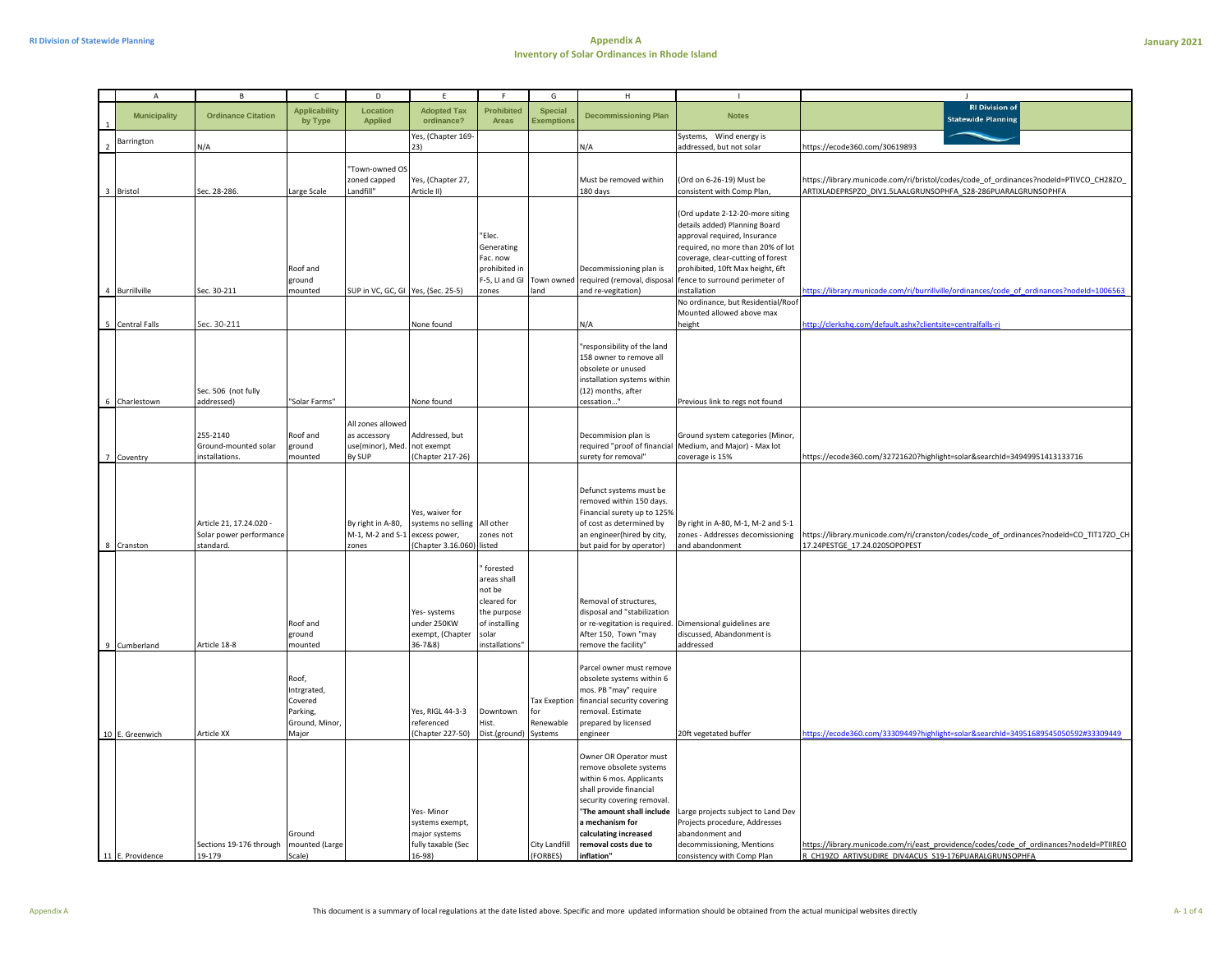|                | A                   | B                                                               | C                                                                      | D                                                               | F.                                                                             | F.                                                                                                         | G                                       | H                                                                                                                                                                                                                                                     | $\mathbf{I}$                                                                                                                                                                                                                                                     | $\mathbf{J}$                                                                                                                                           |
|----------------|---------------------|-----------------------------------------------------------------|------------------------------------------------------------------------|-----------------------------------------------------------------|--------------------------------------------------------------------------------|------------------------------------------------------------------------------------------------------------|-----------------------------------------|-------------------------------------------------------------------------------------------------------------------------------------------------------------------------------------------------------------------------------------------------------|------------------------------------------------------------------------------------------------------------------------------------------------------------------------------------------------------------------------------------------------------------------|--------------------------------------------------------------------------------------------------------------------------------------------------------|
|                | <b>Municipality</b> | <b>Ordinance Citation</b>                                       | <b>Applicability</b><br>by Type                                        | Location<br><b>Applied</b>                                      | <b>Adopted Tax</b><br>ordinance?                                               | <b>Prohibited</b><br>Areas                                                                                 | <b>Special</b><br><b>Exemptions</b>     | <b>Decommissioning Plan</b>                                                                                                                                                                                                                           | <b>Notes</b>                                                                                                                                                                                                                                                     | <b>RI Division of</b><br><b>Statewide Planning</b>                                                                                                     |
| $\overline{2}$ | Barrington          | N/A                                                             |                                                                        |                                                                 | Yes, (Chapter 169-<br>기)                                                       |                                                                                                            |                                         | N/A                                                                                                                                                                                                                                                   | Systems, Wind energy is<br>addressed, but not solar                                                                                                                                                                                                              | https://ecode360.com/30619893                                                                                                                          |
|                | 3 Bristol           | Sec. 28-286                                                     | Large Scale                                                            | "Town-owned OS<br>zoned capped<br>Landfill"                     | Yes, (Chapter 27,<br>Article II)                                               |                                                                                                            |                                         | Must be removed within<br>180 days                                                                                                                                                                                                                    | (Ord on 6-26-19) Must be<br>consistent with Comp Plan,                                                                                                                                                                                                           | https://library.municode.com/ri/bristol/codes/code_of_ordinances?nodeId=PTIVCO_CH28ZO_<br>ARTIXLADEPRSPZO_DIV1.5LAALGRUNSOPHFA_S28-286PUARALGRUNSOPHFA |
|                | 4 Burrillville      | Sec. 30-211                                                     | Roof and<br>ground<br>mounted                                          | SUP in VC, GC, GI Yes, (Sec. 25-5)                              |                                                                                | "Elec.<br>Generating<br>Fac. now<br>orohibited in<br>-5, LI and GI<br>zones                                | Town owned<br>land                      | Decommissioning plan is<br>required (removal, disposa<br>and re-vegitation)                                                                                                                                                                           | (Ord update 2-12-20-more siting<br>details added) Planning Board<br>approval required, Insurance<br>required, no more than 20% of lot<br>coverage, clear-cutting of forest<br>prohibited, 10ft Max height, 6ft<br>fence to surround perimeter of<br>installation | ttps://library.municode.com/ri/burrillville/ordinances/code_of_ordinances?nodeId=1006563                                                               |
|                |                     |                                                                 |                                                                        |                                                                 |                                                                                |                                                                                                            |                                         |                                                                                                                                                                                                                                                       | No ordinance, but Residential/Roof                                                                                                                                                                                                                               |                                                                                                                                                        |
|                | 5 Central Falls     | Sec. 30-211                                                     |                                                                        |                                                                 | None found                                                                     |                                                                                                            |                                         | N/A                                                                                                                                                                                                                                                   | Mounted allowed above max<br>height                                                                                                                                                                                                                              | http://clerkshq.com/default.ashx?clientsite=centralfalls-ri                                                                                            |
|                |                     | Sec. 506 (not fully                                             |                                                                        |                                                                 |                                                                                |                                                                                                            |                                         | responsibility of the land<br>158 owner to remove all<br>obsolete or unused<br>installation systems within<br>(12) months, after                                                                                                                      |                                                                                                                                                                                                                                                                  |                                                                                                                                                        |
|                | 6 Charlestown       | addressed)                                                      | "Solar Farms"                                                          |                                                                 | None found                                                                     |                                                                                                            |                                         | cessation"                                                                                                                                                                                                                                            | Previous link to regs not found                                                                                                                                                                                                                                  |                                                                                                                                                        |
|                | 7 Coventry          | 255-2140<br>Ground-mounted solar<br>installations.              | Roof and<br>ground<br>mounted                                          | All zones allowed<br>as accessory<br>use(minor), Med.<br>By SUP | Addressed, but<br>not exempt<br>(Chapter 217-26)                               |                                                                                                            |                                         | Decommision plan is<br>required "proof of financial<br>surety for removal"                                                                                                                                                                            | Ground system categories (Minor,<br>Medium, and Major) - Max lot<br>coverage is 15%                                                                                                                                                                              | https://ecode360.com/32721620?highlight=solar&searchId=34949951413133716                                                                               |
|                | 8 Cranston          | Article 21, 17.24.020 -<br>Solar power performance<br>standard. |                                                                        | By right in A-80,<br>M-1, M-2 and S-1<br>zones                  | Yes, waiver for<br>systems no selling<br>excess power,<br>Chapter 3.16.060)    | All other<br>ones not<br>listed                                                                            |                                         | Defunct systems must be<br>removed within 150 days.<br>Financial surety up to 125%<br>of cost as determined by<br>an engineer(hired by city,<br>but paid for by operator)                                                                             | By right in A-80, M-1, M-2 and S-1<br>zones - Addresses decomissioning<br>and abandonment                                                                                                                                                                        | https://library.municode.com/ri/cranston/codes/code_of_ordinances?nodeId=CO_TIT17ZO_CH<br>17.24PESTGE_17.24.020SOPOPEST                                |
|                | 9 Cumberland        | Article 18-8                                                    | Roof and<br>ground<br>mounted                                          |                                                                 | Yes- systems<br>under 250KW<br>exempt, (Chapter<br>36-7&8)                     | forested<br>areas shall<br>not be<br>cleared for<br>the purpose<br>of installing<br>solar<br>nstallations" |                                         | Removal of structures,<br>disposal and "stabilization<br>or re-vegitation is required. Dimensional guidelines are<br>After 150, Town "may<br>remove the facility"                                                                                     | discussed, Abandonment is<br>addressed                                                                                                                                                                                                                           |                                                                                                                                                        |
|                | 10 E. Greenwich     | Article XX                                                      | Roof,<br>Intrgrated,<br>Covered<br>Parking,<br>Ground, Minor,<br>Major |                                                                 | Yes, RIGL 44-3-3<br>referenced<br>Chapter 227-50)                              | Downtown<br>list.<br>Dist.(ground) Systems                                                                 | <b>Tax Exeption</b><br>or'<br>Renewable | Parcel owner must remove<br>obsolete systems within 6<br>mos. PB "may" require<br>financial security covering<br>removal. Estimate<br>prepared by licensed<br>engineer                                                                                | 20ft vegetated buffer                                                                                                                                                                                                                                            | ttps://ecode360.com/33309449?highlight=solar&searchId=34951689545050592#33309449                                                                       |
|                | 11 E. Providence    | Sections 19-176 through<br>19-179                               | Ground<br>mounted (Large<br>Scale)                                     |                                                                 | Yes-Minor<br>systems exempt,<br>major systems<br>fully taxable (Sec<br>$16-98$ |                                                                                                            | City Landfill<br>(FORBES)               | Owner OR Operator must<br>remove obsolete systems<br>within 6 mos. Applicants<br>shall provide financial<br>security covering removal.<br>"The amount shall include<br>a mechanism for<br>calculating increased<br>removal costs due to<br>inflation" | Large projects subject to Land Dev<br>Projects procedure, Addresses<br>abandonment and<br>decommissioning, Mentions<br>consistency with Comp Plan                                                                                                                | https://library.municode.com/ri/east_providence/codes/code_of_ordinances?nodeId=PTIIREO<br>R CH19ZO ARTIVSUDIRE DIV4ACUS S19-176PUARALGRUNSOPHFA       |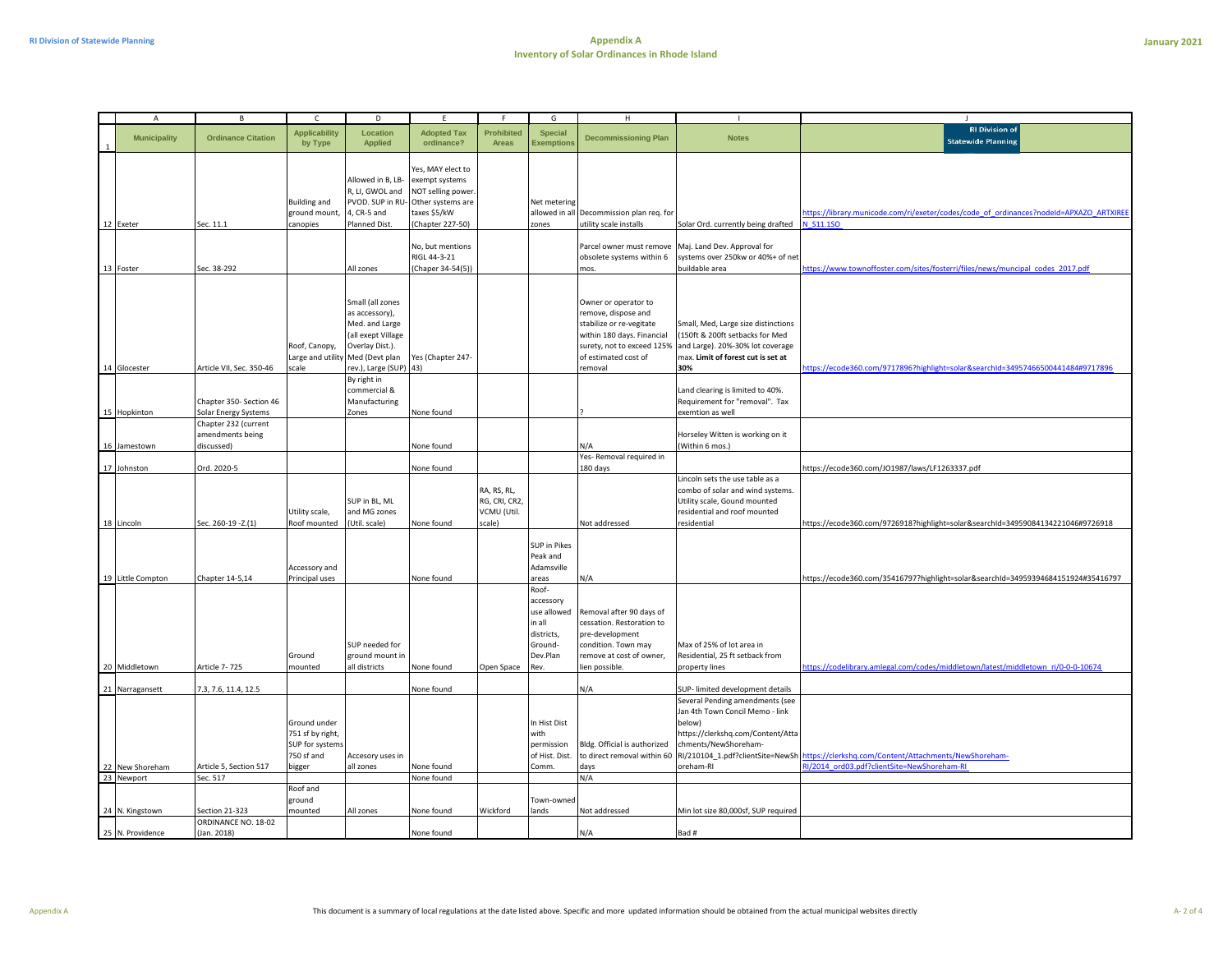| January 2021 |  |
|--------------|--|
|              |  |

| $\overline{A}$                     | B                                                                           | C                                                                           | D                                                                                                                                 |                                                                                                                   | F                                          | G                                                                               | н                                                                                                                                                           | $\mathbf{I}$                                                                                                                                                                                                                  | J                                                                                                    |
|------------------------------------|-----------------------------------------------------------------------------|-----------------------------------------------------------------------------|-----------------------------------------------------------------------------------------------------------------------------------|-------------------------------------------------------------------------------------------------------------------|--------------------------------------------|---------------------------------------------------------------------------------|-------------------------------------------------------------------------------------------------------------------------------------------------------------|-------------------------------------------------------------------------------------------------------------------------------------------------------------------------------------------------------------------------------|------------------------------------------------------------------------------------------------------|
| <b>Municipality</b>                | <b>Ordinance Citation</b>                                                   | <b>Applicability</b><br>by Type                                             | Location<br><b>Applied</b>                                                                                                        | <b>Adopted Tax</b><br>ordinance?                                                                                  | <b>Prohibited</b><br>Areas                 | <b>Special</b><br><b>Exemptions</b>                                             | <b>Decommissioning Plan</b>                                                                                                                                 | <b>Notes</b>                                                                                                                                                                                                                  | <b>RI Division of</b><br><b>Statewide Planning</b>                                                   |
| 12 Exeter                          | Sec. 11.1                                                                   | <b>Building and</b><br>ground mount,<br>canopies                            | Allowed in B, LB-<br>R, LI, GWOL and<br>PVOD. SUP in RU-<br>4, CR-5 and<br>Planned Dist.                                          | Yes, MAY elect to<br>exempt systems<br>NOT selling power<br>Other systems are<br>taxes \$5/kW<br>(Chapter 227-50) |                                            | Net metering<br>allowed in all<br>zones                                         | Decommission plan req. for<br>utility scale installs                                                                                                        | Solar Ord. currently being drafted                                                                                                                                                                                            | https://library.municode.com/ri/exeter/codes/code_of_ordinances?nodeld=APXAZO_ARTXIREE<br>N_S11.1SO  |
| 13 Foster                          | Sec. 38-292                                                                 |                                                                             | All zones                                                                                                                         | No, but mentions<br>RIGL 44-3-21<br>(Chaper 34-54(5))                                                             |                                            |                                                                                 | Parcel owner must remove<br>obsolete systems within 6<br>mos.                                                                                               | Maj. Land Dev. Approval for<br>systems over 250kw or 40%+ of net<br>buildable area                                                                                                                                            | https://www.townoffoster.com/sites/fosterri/files/news/muncipal_codes_2017.pdf                       |
|                                    |                                                                             | Roof, Canopy,                                                               | Small (all zones<br>as accessory),<br>Med. and Large<br>(all exept Village<br>Overlay Dist.).<br>Large and utility Med (Devt plan | Yes (Chapter 247-                                                                                                 |                                            |                                                                                 | Owner or operator to<br>remove, dispose and<br>stabilize or re-vegitate<br>within 180 days. Financial<br>surety, not to exceed 125%<br>of estimated cost of | Small, Med, Large size distinctions<br>(150ft & 200ft setbacks for Med<br>and Large). 20%-30% lot coverage<br>max. Limit of forest cut is set at                                                                              | https://ecode360.com/9717896?highlight=solar&searchId=34957466500441484#9717896                      |
| 14 Glocester<br>15 Hopkinton       | Article VII, Sec. 350-46<br>Chapter 350- Section 46<br>Solar Energy Systems | scale                                                                       | rev.), Large (SUP) 43)<br>By right in<br>commercial &<br>Manufacturing<br>Zones                                                   | None found                                                                                                        |                                            |                                                                                 | removal                                                                                                                                                     | 30%<br>Land clearing is limited to 40%.<br>Requirement for "removal". Tax<br>exemtion as well                                                                                                                                 |                                                                                                      |
| 16 Jamestown                       | Chapter 232 (current<br>amendments being<br>discussed)                      |                                                                             |                                                                                                                                   | None found                                                                                                        |                                            |                                                                                 | N/A<br>Yes- Removal required in                                                                                                                             | Horseley Witten is working on it<br>Within 6 mos.)                                                                                                                                                                            |                                                                                                      |
| 17 Johnston                        | Ord. 2020-5                                                                 |                                                                             |                                                                                                                                   | None found                                                                                                        |                                            |                                                                                 | 180 days                                                                                                                                                    |                                                                                                                                                                                                                               | https://ecode360.com/JO1987/laws/LF1263337.pdf                                                       |
|                                    |                                                                             | Utility scale,                                                              | SUP in BL, ML<br>and MG zones                                                                                                     |                                                                                                                   | RA, RS, RL,<br>RG, CRI, CR2<br>VCMU (Util. |                                                                                 |                                                                                                                                                             | Lincoln sets the use table as a<br>combo of solar and wind systems.<br>Utility scale, Gound mounted<br>residential and roof mounted                                                                                           |                                                                                                      |
| 18_Lincoln                         | Sec. 260-19 - Z.(1)                                                         | Roof mounted                                                                | (Util. scale)                                                                                                                     | None found                                                                                                        | scale)                                     |                                                                                 | Not addressed                                                                                                                                               | residential                                                                                                                                                                                                                   | https://ecode360.com/9726918?highlight=solar&searchId=34959084134221046#9726918                      |
| 19 Little Compton                  | Chapter 14-5,14                                                             | Accessory and<br>Principal uses                                             |                                                                                                                                   | None found                                                                                                        |                                            | SUP in Pikes<br>Peak and<br>Adamsville<br>areas<br>Roof-                        | N/A                                                                                                                                                         |                                                                                                                                                                                                                               | https://ecode360.com/35416797?highlight=solar&searchId=34959394684151924#35416797                    |
| 20 Middletown                      | Article 7- 725                                                              | Ground<br>mounted                                                           | SUP needed for<br>ground mount in<br>all districts                                                                                | None found                                                                                                        | Open Space                                 | accessory<br>use allowed<br>in all<br>districts,<br>Ground-<br>Dev.Plan<br>Rev. | Removal after 90 days of<br>cessation. Restoration to<br>pre-development<br>condition. Town may<br>remove at cost of owner,<br>lien possible.               | Max of 25% of lot area in<br>Residential, 25 ft setback from<br>property lines                                                                                                                                                | https://codelibrary.amlegal.com/codes/middletown/latest/middletown_ri/0-0-0-10674                    |
|                                    |                                                                             |                                                                             |                                                                                                                                   |                                                                                                                   |                                            |                                                                                 |                                                                                                                                                             |                                                                                                                                                                                                                               |                                                                                                      |
| 21 Narragansett<br>22 New Shoreham | 7.3, 7.6, 11.4, 12.5<br>Article 5, Section 517                              | Ground under<br>751 sf by right,<br>SUP for systems<br>750 sf and<br>bigger | Accesory uses in<br>all zones                                                                                                     | None found<br>None found                                                                                          |                                            | In Hist Dist<br>with<br>permission<br>of Hist. Dist.<br>Comm.                   | N/A<br>Bldg. Official is authorized<br>to direct removal within 60<br>days                                                                                  | SUP-limited development details<br>Several Pending amendments (see<br>Jan 4th Town Concil Memo - link<br>below)<br>https://clerkshq.com/Content/Atta<br>chments/NewShoreham-<br>RI/210104_1.pdf?clientSite=NewSh<br>oreham-RI | https://clerkshq.com/Content/Attachments/NewShoreham-<br>RI/2014 ord03.pdf?clientSite=NewShoreham-RI |
| 23 Newport                         | Sec. 517                                                                    |                                                                             |                                                                                                                                   | None found                                                                                                        |                                            |                                                                                 | N/A                                                                                                                                                         |                                                                                                                                                                                                                               |                                                                                                      |
| 24 N. Kingstown                    | Section 21-323                                                              | Roof and<br>ground<br>nounted                                               | All zones                                                                                                                         | None found                                                                                                        | Wickford                                   | Town-owned<br>lands                                                             | Not addressed                                                                                                                                               | Min lot size 80,000sf, SUP required                                                                                                                                                                                           |                                                                                                      |
| 25 N. Providence                   | ORDINANCE NO. 18-02<br>(Jan. 2018)                                          |                                                                             |                                                                                                                                   | None found                                                                                                        |                                            |                                                                                 | N/A                                                                                                                                                         | Bad #                                                                                                                                                                                                                         |                                                                                                      |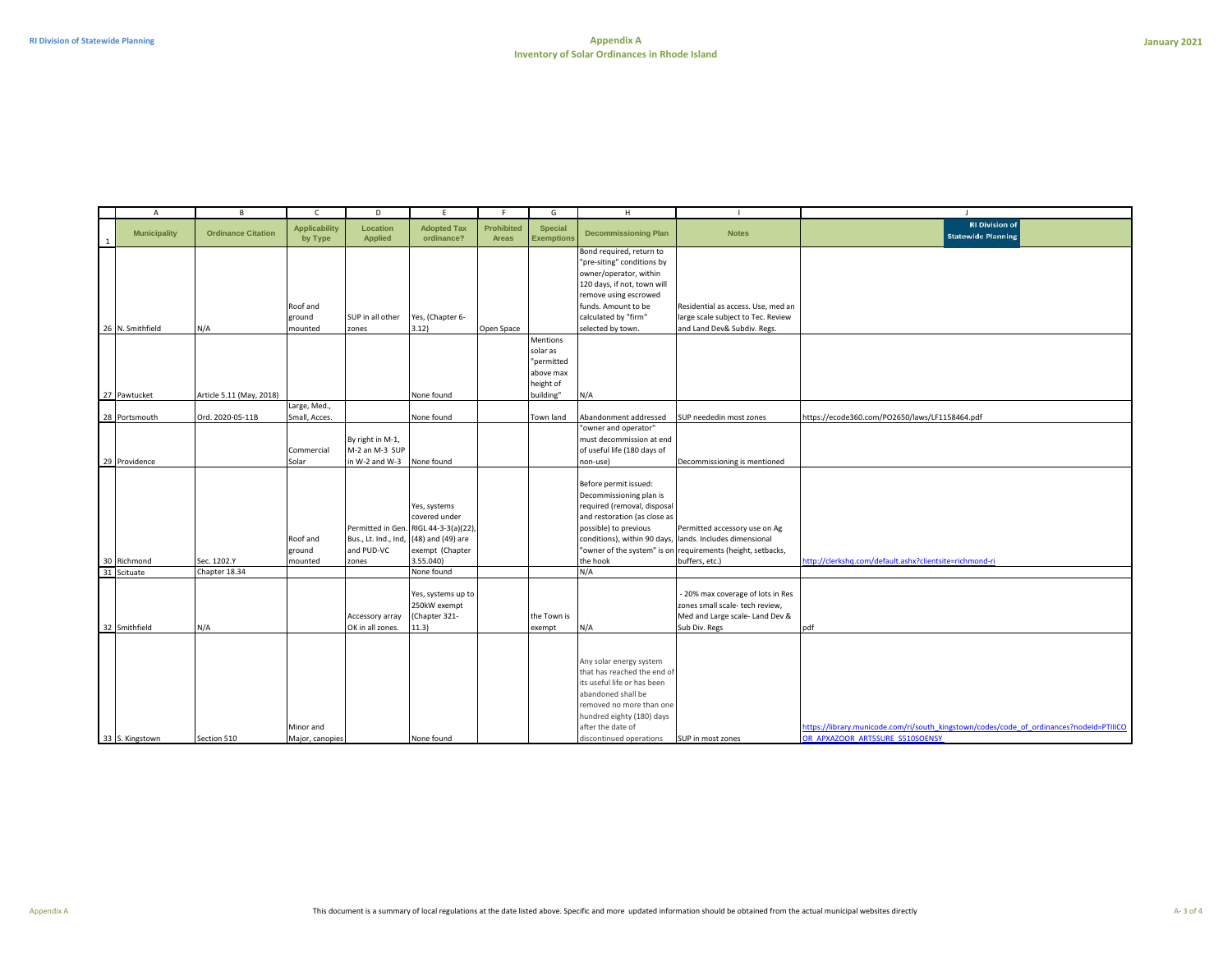| $\overline{A}$             | $\, {\sf B}$              | $\mathsf{C}$                    | D                                                    | E                                                                                                                           | F.                                | G                                                                         | H                                                                                                                                                                                                                    | $\mathbf{L}$                                                                                                                                                               | $\blacksquare$                                                                                                             |
|----------------------------|---------------------------|---------------------------------|------------------------------------------------------|-----------------------------------------------------------------------------------------------------------------------------|-----------------------------------|---------------------------------------------------------------------------|----------------------------------------------------------------------------------------------------------------------------------------------------------------------------------------------------------------------|----------------------------------------------------------------------------------------------------------------------------------------------------------------------------|----------------------------------------------------------------------------------------------------------------------------|
| <b>Municipality</b>        | <b>Ordinance Citation</b> | <b>Applicability</b><br>by Type | Location<br><b>Applied</b>                           | <b>Adopted Tax</b><br>ordinance?                                                                                            | <b>Prohibited</b><br><b>Areas</b> | <b>Special</b><br><b>Exemptions</b>                                       | <b>Decommissioning Plan</b>                                                                                                                                                                                          | <b>Notes</b>                                                                                                                                                               | <b>RI Division of</b><br><b>Statewide Planning</b>                                                                         |
| 26 N. Smithfield           | N/A                       | Roof and<br>ground<br>mounted   | SUP in all other<br>zones                            | Yes, (Chapter 6-<br>3.12)                                                                                                   | Open Space                        |                                                                           | Bond required, return to<br>"pre-siting" conditions by<br>owner/operator, within<br>120 days, if not, town will<br>remove using escrowed<br>funds. Amount to be<br>calculated by "firm"<br>selected by town.         | Residential as access. Use, med an<br>large scale subject to Tec. Review<br>and Land Dev& Subdiv. Regs.                                                                    |                                                                                                                            |
| 27 Pawtucket               | Article 5.11 (May, 2018)  |                                 |                                                      | None found                                                                                                                  |                                   | Mentions<br>solar as<br>"permitted<br>above max<br>height of<br>building" | N/A                                                                                                                                                                                                                  |                                                                                                                                                                            |                                                                                                                            |
| 28 Portsmouth              | Ord. 2020-05-11B          | Large, Med.,<br>Small, Acces.   |                                                      | None found                                                                                                                  |                                   | Town land                                                                 | Abandonment addressed                                                                                                                                                                                                | SUP neededin most zones                                                                                                                                                    | https://ecode360.com/PO2650/laws/LF1158464.pdf                                                                             |
| 29 Providence              |                           | Commercial<br>Solar             | By right in M-1,<br>M-2 an M-3 SUP<br>in W-2 and W-3 | None found                                                                                                                  |                                   |                                                                           | "owner and operator"<br>must decommission at end<br>of useful life (180 days of<br>non-use)                                                                                                                          | Decommissioning is mentioned                                                                                                                                               |                                                                                                                            |
| 30 Richmond<br>31 Scituate | Sec. 1202.Y               | Roof and<br>ground<br>mounted   | Bus., Lt. Ind., Ind,<br>and PUD-VC<br>zones          | Yes, systems<br>covered under<br>Permitted in Gen. RIGL 44-3-3(a)(22),<br>(48) and (49) are<br>exempt (Chapter<br>3.55.040) |                                   |                                                                           | Before permit issued:<br>Decommissioning plan is<br>required (removal, disposal<br>and restoration (as close as<br>possible) to previous<br>the hook                                                                 | Permitted accessory use on Ag<br>conditions), within 90 days, lands. Includes dimensional<br>"owner of the system" is on requirements (height, setbacks,<br>buffers, etc.) | http://clerkshq.com/default.ashx?clientsite=richmond-ri                                                                    |
|                            | Chapter 18.34             |                                 |                                                      | None found                                                                                                                  |                                   |                                                                           | N/A                                                                                                                                                                                                                  |                                                                                                                                                                            |                                                                                                                            |
| 32 Smithfield              | N/A                       |                                 | Accessory array<br>OK in all zones.                  | Yes, systems up to<br>250kW exempt<br>(Chapter 321-<br>11.3)                                                                |                                   | the Town is<br>exempt                                                     | N/A                                                                                                                                                                                                                  | - 20% max coverage of lots in Res<br>zones small scale- tech review,<br>Med and Large scale- Land Dev &<br>Sub Div. Regs                                                   | pdf                                                                                                                        |
| 33 S. Kingstown            | Section 510               | Minor and<br>Major, canopies    |                                                      | None found                                                                                                                  |                                   |                                                                           | Any solar energy system<br>that has reached the end of<br>its useful life or has been<br>abandoned shall be<br>removed no more than one<br>hundred eighty (180) days<br>after the date of<br>discontinued operations | SUP in most zones                                                                                                                                                          | https://library.municode.com/ri/south_kingstown/codes/code_of_ordinances?nodeId=PTIIICO<br>OR APXAZOOR ART5SURE S510SOENSY |